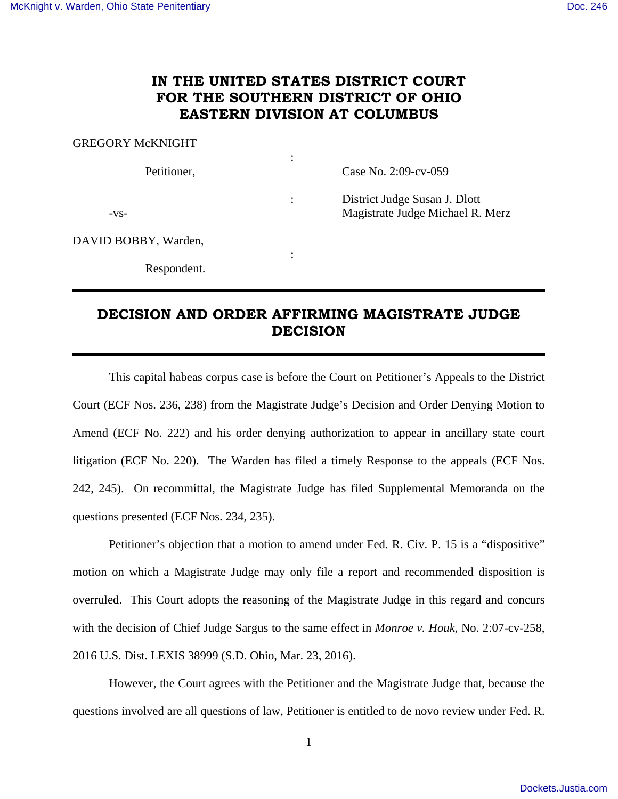## **IN THE UNITED STATES DISTRICT COURT FOR THE SOUTHERN DISTRICT OF OHIO EASTERN DIVISION AT COLUMBUS**

:

:

GREGORY McKNIGHT

Petitioner, Case No. 2:09-cv-059

: District Judge Susan J. Dlott -vs- Magistrate Judge Michael R. Merz

DAVID BOBBY, Warden,

Respondent.

## **DECISION AND ORDER AFFIRMING MAGISTRATE JUDGE DECISION**

This capital habeas corpus case is before the Court on Petitioner's Appeals to the District Court (ECF Nos. 236, 238) from the Magistrate Judge's Decision and Order Denying Motion to Amend (ECF No. 222) and his order denying authorization to appear in ancillary state court litigation (ECF No. 220). The Warden has filed a timely Response to the appeals (ECF Nos. 242, 245). On recommittal, the Magistrate Judge has filed Supplemental Memoranda on the questions presented (ECF Nos. 234, 235).

Petitioner's objection that a motion to amend under Fed. R. Civ. P. 15 is a "dispositive" motion on which a Magistrate Judge may only file a report and recommended disposition is overruled. This Court adopts the reasoning of the Magistrate Judge in this regard and concurs with the decision of Chief Judge Sargus to the same effect in *Monroe v. Houk*, No. 2:07-cv-258, 2016 U.S. Dist. LEXIS 38999 (S.D. Ohio, Mar. 23, 2016).

However, the Court agrees with the Petitioner and the Magistrate Judge that, because the questions involved are all questions of law, Petitioner is entitled to de novo review under Fed. R.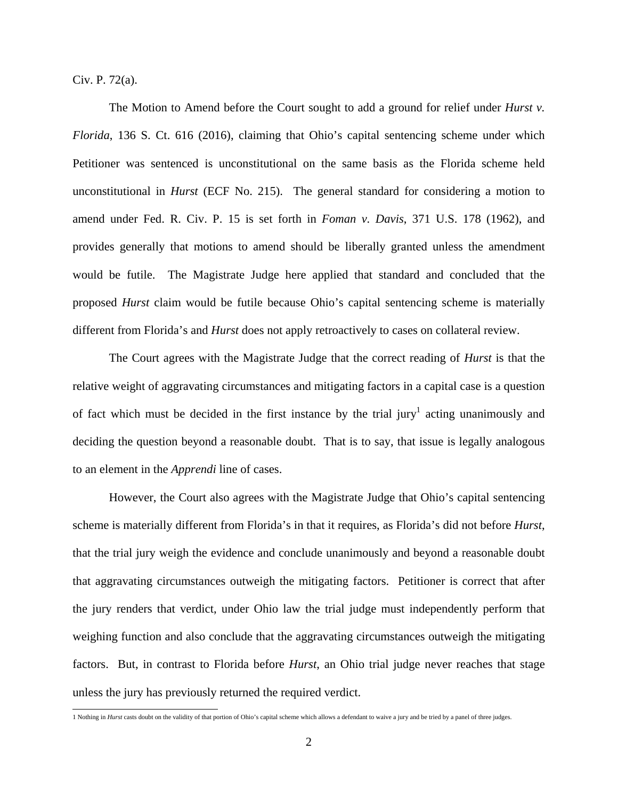Civ. P. 72(a).

The Motion to Amend before the Court sought to add a ground for relief under *Hurst v. Florida*, 136 S. Ct. 616 (2016), claiming that Ohio's capital sentencing scheme under which Petitioner was sentenced is unconstitutional on the same basis as the Florida scheme held unconstitutional in *Hurst* (ECF No. 215). The general standard for considering a motion to amend under Fed. R. Civ. P. 15 is set forth in *Foman v. Davis*, 371 U.S. 178 (1962), and provides generally that motions to amend should be liberally granted unless the amendment would be futile. The Magistrate Judge here applied that standard and concluded that the proposed *Hurst* claim would be futile because Ohio's capital sentencing scheme is materially different from Florida's and *Hurst* does not apply retroactively to cases on collateral review.

The Court agrees with the Magistrate Judge that the correct reading of *Hurst* is that the relative weight of aggravating circumstances and mitigating factors in a capital case is a question of fact which must be decided in the first instance by the trial jury<sup>1</sup> acting unanimously and deciding the question beyond a reasonable doubt. That is to say, that issue is legally analogous to an element in the *Apprendi* line of cases.

However, the Court also agrees with the Magistrate Judge that Ohio's capital sentencing scheme is materially different from Florida's in that it requires, as Florida's did not before *Hurst*, that the trial jury weigh the evidence and conclude unanimously and beyond a reasonable doubt that aggravating circumstances outweigh the mitigating factors. Petitioner is correct that after the jury renders that verdict, under Ohio law the trial judge must independently perform that weighing function and also conclude that the aggravating circumstances outweigh the mitigating factors. But, in contrast to Florida before *Hurst*, an Ohio trial judge never reaches that stage unless the jury has previously returned the required verdict.

 1 Nothing in *Hurst* casts doubt on the validity of that portion of Ohio's capital scheme which allows a defendant to waive a jury and be tried by a panel of three judges.